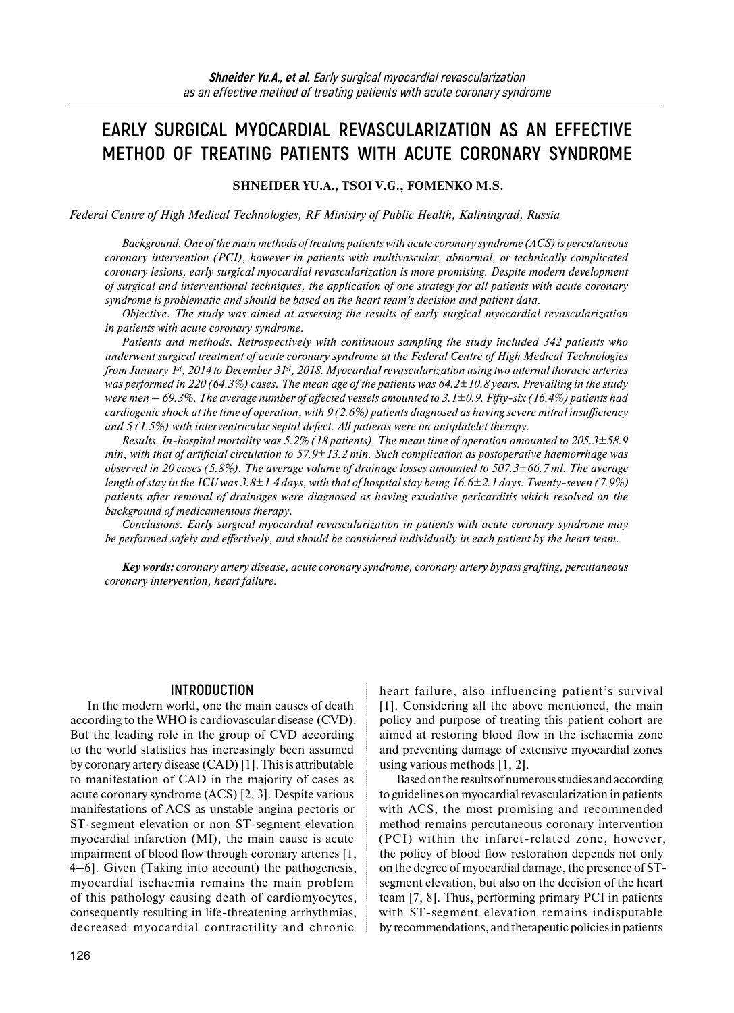# **EARLY SURGICAL MYOCARDIAL REVASCULARIZATION AS AN EFFECTIVE METHOD OF TREATING PATIENTS WITH ACUTE CORONARY SYNDROME**

#### **SHNEIDER YU.A., TSOI V.G., FOMENKO M.S.**

*Federal Centre of High Medical Technologies, RF Ministry of Public Health, Kaliningrad, Russia* 

*Background. One of the main methods of treating patients with acute coronary syndrome (ACS) is percutaneous coronary intervention (PCI), however in patients with multivascular, abnormal, or technically complicated coronary lesions, early surgical myocardial revascularization is more promising. Despite modern development of surgical and interventional techniques, the application of one strategy for all patients with acute coronary syndrome is problematic and should be based on the heart team's decision and patient data.* 

*Objective. The study was aimed at assessing the results of early surgical myocardial revascularization in patients with acute coronary syndrome.*

*Patients and methods. Retrospectively with continuous sampling the study included 342 patients who underwent surgical treatment of acute coronary syndrome at the Federal Centre of High Medical Technologies from January 1st, 2014 to December 31st, 2018. Myocardial revascularization using two internal thoracic arteries was performed in 220 (64.3%) cases. The mean age of the patients was 64.2±10.8 years. Prevailing in the study were men – 69.3%. The average number of affected vessels amounted to 3.1±0.9. Fifty-six (16.4%) patients had cardiogenic shock at the time of operation, with 9 (2.6%) patients diagnosed as having severe mitral insufficiency and 5 (1.5%) with interventricular septal defect. All patients were on antiplatelet therapy.* 

*Results. In-hospital mortality was 5.2% (18 patients). The mean time of operation amounted to 205.3±58.9 min, with that of artificial circulation to 57.9±13.2 min. Such complication as postoperative haemorrhage was observed in 20 cases (5.8%). The average volume of drainage losses amounted to 507.3±66.7 ml. The average length of stay in the ICU was 3.8±1.4 days, with that of hospital stay being 16.6±2.1 days. Twenty-seven (7.9%) patients after removal of drainages were diagnosed as having exudative pericarditis which resolved on the background of medicamentous therapy.*

*Conclusions. Early surgical myocardial revascularization in patients with acute coronary syndrome may be performed safely and effectively, and should be considered individually in each patient by the heart team.* 

*Key words: coronary artery disease, acute coronary syndrome, coronary artery bypass grafting, percutaneous coronary intervention, heart failure.*

#### **INTRODUCTION**

In the modern world, one the main causes of death according to the WHO is cardiovascular disease (CVD). But the leading role in the group of CVD according to the world statistics has increasingly been assumed by coronary artery disease (CAD) [1]. This is attributable to manifestation of CAD in the majority of cases as acute coronary syndrome (ACS) [2, 3]. Despite various manifestations of ACS as unstable angina pectoris or ST-segment elevation or non-ST-segment elevation myocardial infarction (MI), the main cause is acute impairment of blood flow through coronary arteries [1, 4–6]. Given (Taking into account) the pathogenesis, myocardial ischaemia remains the main problem of this pathology causing death of cardiomyocytes, consequently resulting in life-threatening arrhythmias, decreased myocardial contractility and chronic

126

heart failure, also influencing patient's survival [1]. Considering all the above mentioned, the main policy and purpose of treating this patient cohort are aimed at restoring blood flow in the ischaemia zone and preventing damage of extensive myocardial zones using various methods [1, 2].

Based on the results of numerous studies and according to guidelines on myocardial revascularization in patients with ACS, the most promising and recommended method remains percutaneous coronary intervention (PCI) within the infarct-related zone, however, the policy of blood flow restoration depends not only on the degree of myocardial damage, the presence of STsegment elevation, but also on the decision of the heart team [7, 8]. Thus, performing primary PCI in patients with ST-segment elevation remains indisputable by recommendations, and therapeutic policies in patients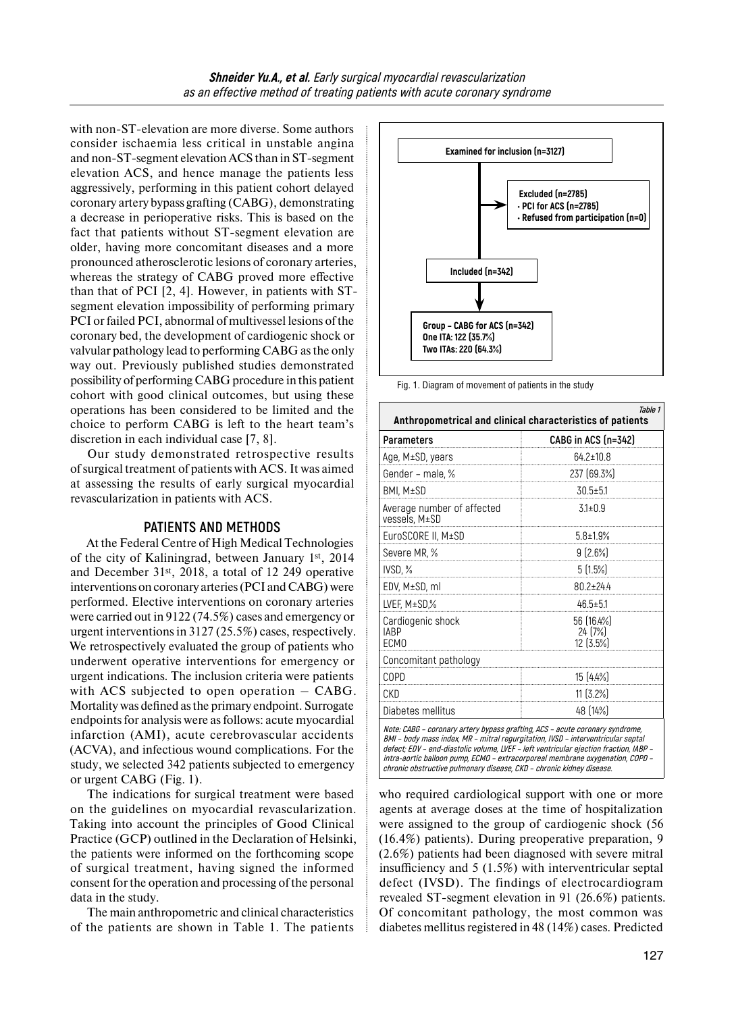with non-ST-elevation are more diverse. Some authors consider ischaemia less critical in unstable angina and non-ST-segment elevation ACS than in ST-segment elevation ACS, and hence manage the patients less aggressively, performing in this patient cohort delayed coronary artery bypass grafting (CABG), demonstrating a decrease in perioperative risks. This is based on the fact that patients without ST-segment elevation are older, having more concomitant diseases and a more pronounced atherosclerotic lesions of coronary arteries, whereas the strategy of CABG proved more effective than that of PCI [2, 4]. However, in patients with STsegment elevation impossibility of performing primary PCI or failed PCI, abnormal of multivessel lesions of the coronary bed, the development of cardiogenic shock or valvular pathology lead to performing CABG as the only way out. Previously published studies demonstrated possibility of performing CABG procedure in this patient cohort with good clinical outcomes, but using these operations has been considered to be limited and the choice to perform CABG is left to the heart team's discretion in each individual case [7, 8].

Our study demonstrated retrospective results of surgical treatment of patients with ACS. It was aimed at assessing the results of early surgical myocardial revascularization in patients with ACS.

#### **PATIENTS AND METHODS**

At the Federal Centre of High Medical Technologies of the city of Kaliningrad, between January 1st, 2014 and December 31st, 2018, a total of 12 249 operative interventions on coronary arteries (PCI and CABG) were performed. Elective interventions on coronary arteries were carried out in 9122 (74.5%) cases and emergency or urgent interventions in 3127 (25.5%) cases, respectively. We retrospectively evaluated the group of patients who underwent operative interventions for emergency or urgent indications. The inclusion criteria were patients with ACS subjected to open operation – CABG. Mortality was defined as the primary endpoint. Surrogate endpoints for analysis were as follows: acute myocardial infarction (AMI), acute cerebrovascular accidents (ACVA), and infectious wound complications. For the study, we selected 342 patients subjected to emergency or urgent CABG (Fig. 1).

The indications for surgical treatment were based on the guidelines on myocardial revascularization. Taking into account the principles of Good Clinical Practice (GCP) outlined in the Declaration of Helsinki, the patients were informed on the forthcoming scope of surgical treatment, having signed the informed consent for the operation and processing of the personal data in the study.

The main anthropometric and clinical characteristics of the patients are shown in Table 1. The patients

**Excluded (n=2785) • PCI for ACS (n=2785) • Refused from participation (n=0) Group – CABG for ACS (n=342) One ITA: 122 (35.7%) Two ITAs: 220 (64.3%) Included (n=342) Examined for inclusion (n=3127)**

Fig. 1. Diagram of movement of patients in the study

| Table 1<br>Anthropometrical and clinical characteristics of patients                                                                                                                                                                                                                                                                                                                                               |                                      |  |
|--------------------------------------------------------------------------------------------------------------------------------------------------------------------------------------------------------------------------------------------------------------------------------------------------------------------------------------------------------------------------------------------------------------------|--------------------------------------|--|
| Parameters                                                                                                                                                                                                                                                                                                                                                                                                         | CABG in ACS (n=342)                  |  |
| Age, M±SD, years                                                                                                                                                                                                                                                                                                                                                                                                   | $64.2 \pm 10.8$                      |  |
| Gender - male, %                                                                                                                                                                                                                                                                                                                                                                                                   | 237 (69.3%)                          |  |
| BMI, M±SD                                                                                                                                                                                                                                                                                                                                                                                                          | $30.5 \pm 5.1$                       |  |
| Average number of affected<br>vessels, M±SD                                                                                                                                                                                                                                                                                                                                                                        | $3.1 \pm 0.9$                        |  |
| EuroSCORE II, M±SD                                                                                                                                                                                                                                                                                                                                                                                                 | $5.8 \pm 1.9\%$                      |  |
| Severe MR, %                                                                                                                                                                                                                                                                                                                                                                                                       | $9(2.6\%)$                           |  |
| IVSD, %                                                                                                                                                                                                                                                                                                                                                                                                            | 5(1.5%)                              |  |
| EDV, M±SD, ml                                                                                                                                                                                                                                                                                                                                                                                                      | 80.2±24.4                            |  |
| LVEF, M±SD,%                                                                                                                                                                                                                                                                                                                                                                                                       | $46.5 \pm 5.1$                       |  |
| Cardiogenic shock<br><b>IABP</b><br>ECM <sub>0</sub>                                                                                                                                                                                                                                                                                                                                                               | 56 (16.4%)<br>24 [7%]<br>$12[3.5\%]$ |  |
| Concomitant pathology                                                                                                                                                                                                                                                                                                                                                                                              |                                      |  |
| COPD                                                                                                                                                                                                                                                                                                                                                                                                               | 15[4.4%]                             |  |
| CKD                                                                                                                                                                                                                                                                                                                                                                                                                | 11 (3.2%)                            |  |
| Diabetes mellitus                                                                                                                                                                                                                                                                                                                                                                                                  | 48 (14%)                             |  |
| Note: CABG - coronary artery bypass grafting, ACS - acute coronary syndrome,<br>BMI - body mass index, MR - mitral regurgitation, IVSD - interventricular septal<br>defect; EDV - end-diastolic volume, LVEF - left ventricular ejection fraction, IABP -<br>intra-aortic balloon pump, ECMO - extracorporeal membrane oxygenation, COPD -<br>chronic obstructive pulmonary disease, CKD - chronic kidney disease. |                                      |  |

who required cardiological support with one or more agents at average doses at the time of hospitalization were assigned to the group of cardiogenic shock (56 (16.4%) patients). During preoperative preparation, 9 (2.6%) patients had been diagnosed with severe mitral insufficiency and 5 (1.5%) with interventricular septal defect (IVSD). The findings of electrocardiogram revealed ST-segment elevation in 91 (26.6%) patients. Of concomitant pathology, the most common was diabetes mellitus registered in 48 (14%) cases. Predicted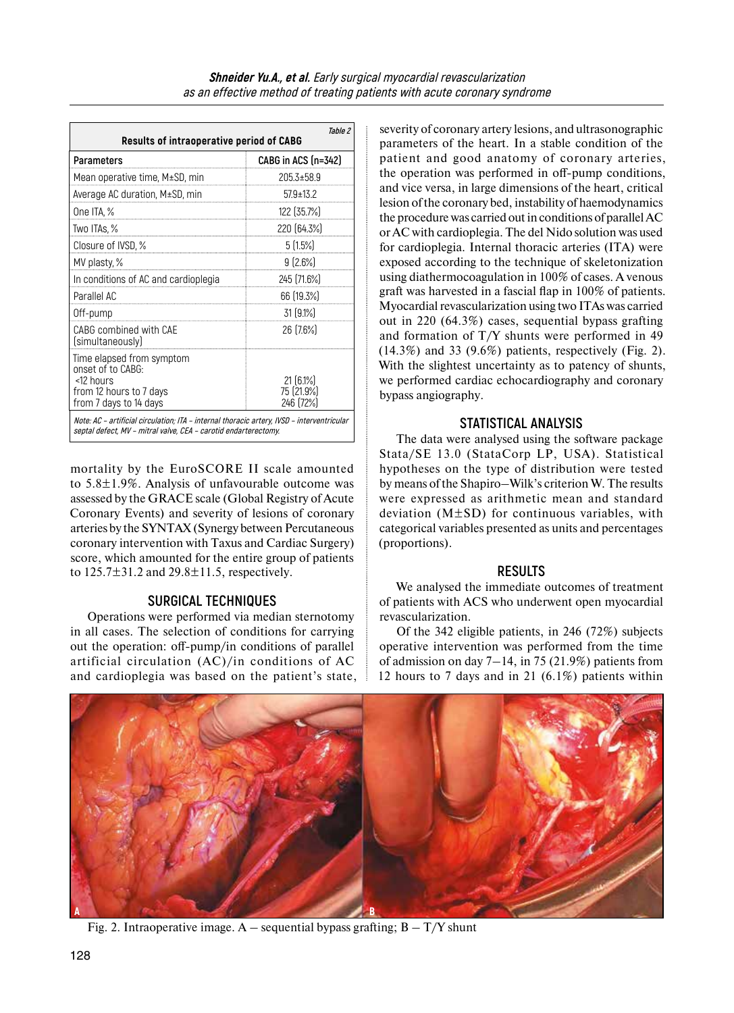| Table 2<br><b>Results of intraoperative period of CABG</b>                                                                                                    |                                        |  |
|---------------------------------------------------------------------------------------------------------------------------------------------------------------|----------------------------------------|--|
| Parameters                                                                                                                                                    | CABG in ACS (n=342)                    |  |
| Mean operative time, M±SD, min                                                                                                                                | 205.3±58.9                             |  |
| Average AC duration, M±SD, min                                                                                                                                | $57.9 \pm 13.2$                        |  |
| One ITA, %                                                                                                                                                    | 122 (35.7%)                            |  |
| Two ITAs, %                                                                                                                                                   | 220 (64.3%)                            |  |
| Closure of IVSD, %                                                                                                                                            | $5(1.5\%)$                             |  |
| MV plasty, %                                                                                                                                                  | $9(2.6\%)$                             |  |
| In conditions of AC and cardioplegia                                                                                                                          | 245 [71.6%]                            |  |
| Parallel AC                                                                                                                                                   | 66 (19.3%)                             |  |
| Off-pump                                                                                                                                                      | $31(9.1\%)$                            |  |
| CABG combined with CAE<br>(simultaneously)                                                                                                                    | 26 (7.6%)                              |  |
| Time elapsed from symptom<br>onset of to CABG:<br><12 hours<br>from 12 hours to 7 days<br>from 7 days to 14 days                                              | $21(6.1\%)$<br>75 [21.9%]<br>246 (72%) |  |
| Note: AC - artificial circulation; ITA - internal thoracic artery, IVSD - interventricular<br>septal defect, MV - mitral valve, CEA - carotid endarterectomy. |                                        |  |

mortality by the EuroSCORE II scale amounted to 5.8±1.9%. Analysis of unfavourable outcome was assessed by the GRACE scale (Global Registry of Acute Coronary Events) and severity of lesions of coronary arteries by the SYNTAX (Synergy between Percutaneous coronary intervention with Taxus and Cardiac Surgery) score, which amounted for the entire group of patients to  $125.7 \pm 31.2$  and  $29.8 \pm 11.5$ , respectively.

#### **SURGICAL TECHNIQUES**

Operations were performed via median sternotomy in all cases. The selection of conditions for carrying out the operation: off-pump/in conditions of parallel artificial circulation (AC)/in conditions of AC and cardioplegia was based on the patient's state, severity of coronary artery lesions, and ultrasonographic parameters of the heart. In a stable condition of the patient and good anatomy of coronary arteries, the operation was performed in off-pump conditions, and vice versa, in large dimensions of the heart, critical lesion of the coronary bed, instability of haemodynamics the procedure was carried out in conditions of parallel AC or AC with cardioplegia. The del Nido solution was used for cardioplegia. Internal thoracic arteries (ITA) were exposed according to the technique of skeletonization using diathermocoagulation in 100% of cases. A venous graft was harvested in a fascial flap in 100% of patients. Myocardial revascularization using two ITAs was carried out in 220 (64.3%) cases, sequential bypass grafting and formation of T/Y shunts were performed in 49  $(14.3\%)$  and 33  $(9.6\%)$  patients, respectively (Fig. 2). With the slightest uncertainty as to patency of shunts, we performed cardiac echocardiography and coronary bypass angiography.

# **STATISTICAL ANALYSIS**

The data were analysed using the software package Stata/SE 13.0 (StataCorp LP, USA). Statistical hypotheses on the type of distribution were tested by means of the Shapiro–Wilk's criterion W. The results were expressed as arithmetic mean and standard deviation (M±SD) for continuous variables, with categorical variables presented as units and percentages (proportions).

# **RESULTS**

We analysed the immediate outcomes of treatment of patients with ACS who underwent open myocardial revascularization.

Of the 342 eligible patients, in 246 (72%) subjects operative intervention was performed from the time of admission on day  $7-14$ , in 75 (21.9%) patients from 12 hours to 7 days and in 21 (6.1%) patients within



Fig. 2. Intraoperative image. A – sequential bypass grafting;  $B - T/Y$  shunt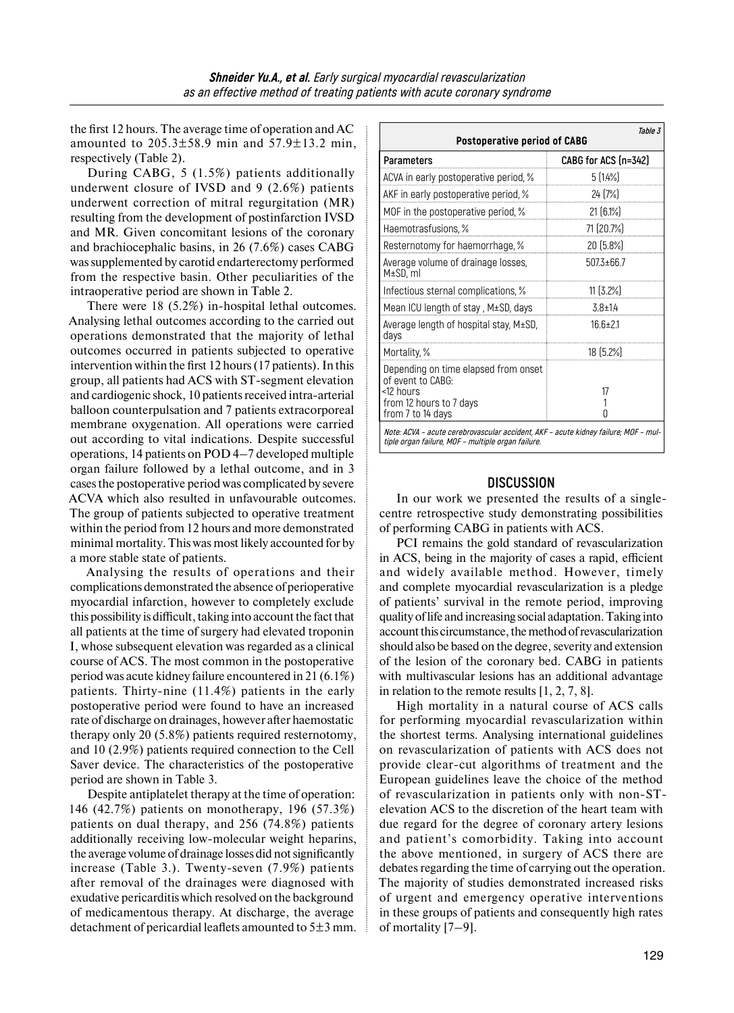the first 12 hours. The average time of operation and AC amounted to  $205.3 \pm 58.9$  min and  $57.9 \pm 13.2$  min, respectively (Table 2).

During CABG, 5 (1.5%) patients additionally underwent closure of IVSD and 9 (2.6%) patients underwent correction of mitral regurgitation (MR) resulting from the development of postinfarction IVSD and MR. Given concomitant lesions of the coronary and brachiocephalic basins, in 26 (7.6%) cases CABG was supplemented by carotid endarterectomy performed from the respective basin. Other peculiarities of the intraoperative period are shown in Table 2.

There were 18 (5.2%) in-hospital lethal outcomes. Analysing lethal outcomes according to the carried out operations demonstrated that the majority of lethal outcomes occurred in patients subjected to operative intervention within the first 12 hours (17 patients). In this group, all patients had ACS with ST-segment elevation and cardiogenic shock, 10 patients received intra-arterial balloon counterpulsation and 7 patients extracorporeal membrane oxygenation. All operations were carried out according to vital indications. Despite successful operations, 14 patients on POD 4–7 developed multiple organ failure followed by a lethal outcome, and in 3 cases the postoperative period was complicated by severe ACVA which also resulted in unfavourable outcomes. The group of patients subjected to operative treatment within the period from 12 hours and more demonstrated minimal mortality. This was most likely accounted for by a more stable state of patients.

Analysing the results of operations and their complications demonstrated the absence of perioperative myocardial infarction, however to completely exclude this possibility is difficult, taking into account the fact that all patients at the time of surgery had elevated troponin I, whose subsequent elevation was regarded as a clinical course of ACS. The most common in the postoperative period was acute kidney failure encountered in 21 (6.1%) patients. Thirty-nine (11.4%) patients in the early postoperative period were found to have an increased rate of discharge on drainages, however after haemostatic therapy only 20 (5.8%) patients required resternotomy, and 10 (2.9%) patients required connection to the Cell Saver device. The characteristics of the postoperative period are shown in Table 3.

Despite antiplatelet therapy at the time of operation: 146 (42.7%) patients on monotherapy, 196 (57.3%) patients on dual therapy, and 256 (74.8%) patients additionally receiving low-molecular weight heparins, the average volume of drainage losses did not significantly increase (Table 3.). Twenty-seven (7.9%) patients after removal of the drainages were diagnosed with exudative pericarditis which resolved on the background of medicamentous therapy. At discharge, the average detachment of pericardial leaflets amounted to  $5\pm 3$  mm.

| Table 3<br><b>Postoperative period of CABG</b>                                                                                            |                      |  |
|-------------------------------------------------------------------------------------------------------------------------------------------|----------------------|--|
| Parameters                                                                                                                                | CABG for ACS (n=342) |  |
| ACVA in early postoperative period, %                                                                                                     | 5(1.4%)              |  |
| AKF in early postoperative period, %                                                                                                      | 24 [7%]              |  |
| MOF in the postoperative period, %                                                                                                        | $21(6.1\%)$          |  |
| Haemotrasfusions, %                                                                                                                       | 71 (20.7%)           |  |
| Resternotomy for haemorrhage, %                                                                                                           | 20 (5.8%)            |  |
| Average volume of drainage losses,<br>M±SD, ml                                                                                            | $5073 + 667$         |  |
| Infectious sternal complications, %                                                                                                       | $11$ $(3.2\%)$       |  |
| Mean ICU length of stay, M±SD, days                                                                                                       | $3.8 \pm 14$         |  |
| Average length of hospital stay, M±SD,<br>days                                                                                            | $16f+21$             |  |
| Mortality, %                                                                                                                              | 18 (5.2%)            |  |
| Depending on time elapsed from onset<br>of event to CABG:<br><12 hours<br>from 12 hours to 7 days<br>from 7 to 14 days                    | 17<br>n              |  |
| Note: ACVA - acute cerebrovascular accident, AKF - acute kidney failure; MOF - mul-<br>tiple organ failure, MOF - multiple organ failure. |                      |  |

### **DISCUSSION**

In our work we presented the results of a singlecentre retrospective study demonstrating possibilities of performing CABG in patients with ACS.

PCI remains the gold standard of revascularization in ACS, being in the majority of cases a rapid, efficient and widely available method. However, timely and complete myocardial revascularization is a pledge of patients' survival in the remote period, improving quality oflife and increasing social adaptation. Taking into account this circumstance, the method of revascularization should also be based on the degree, severity and extension of the lesion of the coronary bed. CABG in patients with multivascular lesions has an additional advantage in relation to the remote results [1, 2, 7, 8].

High mortality in a natural course of ACS calls for performing myocardial revascularization within the shortest terms. Analysing international guidelines on revascularization of patients with ACS does not provide clear-cut algorithms of treatment and the European guidelines leave the choice of the method of revascularization in patients only with non-STelevation ACS to the discretion of the heart team with due regard for the degree of coronary artery lesions and patient's comorbidity. Taking into account the above mentioned, in surgery of ACS there are debates regarding the time of carrying out the operation. The majority of studies demonstrated increased risks of urgent and emergency operative interventions in these groups of patients and consequently high rates of mortality [7–9].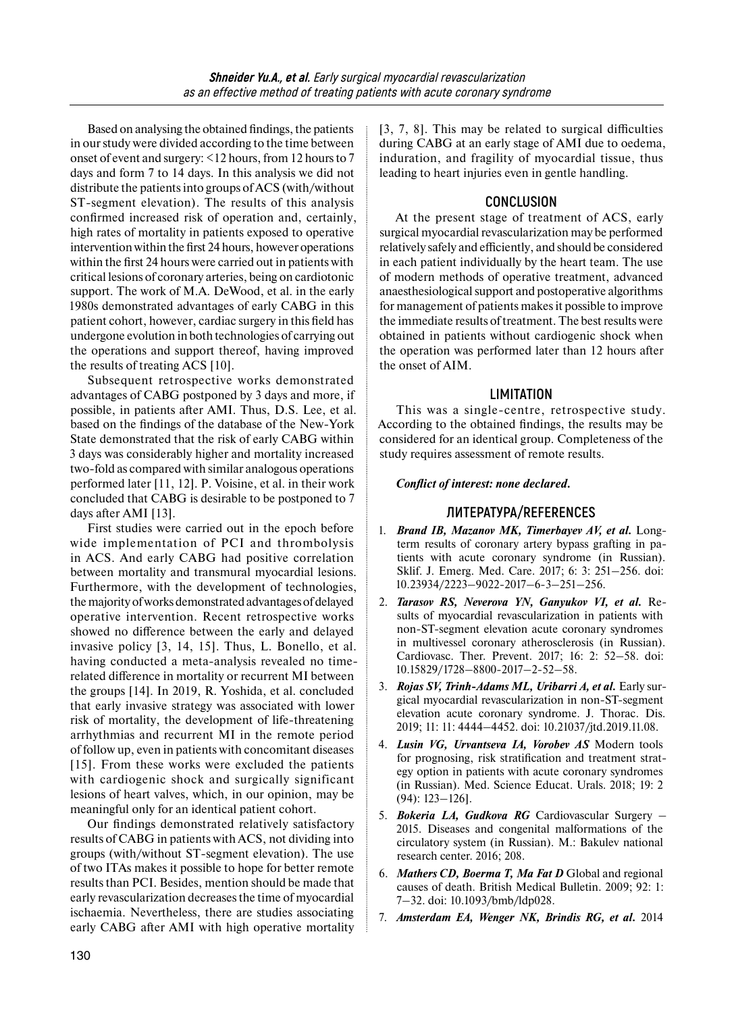Based on analysing the obtained findings, the patients in our study were divided according to the time between onset of event and surgery: <12 hours, from 12 hours to 7 days and form 7 to 14 days. In this analysis we did not distribute the patients into groups of ACS (with/without ST-segment elevation). The results of this analysis confirmed increased risk of operation and, certainly, high rates of mortality in patients exposed to operative intervention within the first 24 hours, however operations within the first 24 hours were carried out in patients with critical lesions of coronary arteries, being on cardiotonic support. The work of M.A. DeWood, et al. in the early 1980s demonstrated advantages of early CABG in this patient cohort, however, cardiac surgery in this field has undergone evolution in both technologies of carrying out the operations and support thereof, having improved the results of treating ACS [10].

Subsequent retrospective works demonstrated advantages of CABG postponed by 3 days and more, if possible, in patients after AMI. Thus, D.S. Lee, et al. based on the findings of the database of the New-York State demonstrated that the risk of early CABG within 3 days was considerably higher and mortality increased two-fold as compared with similar analogous operations performed later [11, 12]. P. Voisine, et al. in their work concluded that CABG is desirable to be postponed to 7 days after AMI [13].

First studies were carried out in the epoch before wide implementation of PCI and thrombolysis in ACS. And early CABG had positive correlation between mortality and transmural myocardial lesions. Furthermore, with the development of technologies, the majority of works demonstrated advantages of delayed operative intervention. Recent retrospective works showed no difference between the early and delayed invasive policy [3, 14, 15]. Thus, L. Bonello, et al. having conducted a meta-analysis revealed no timerelated difference in mortality or recurrent MI between the groups [14]. In 2019, R. Yoshida, et al. concluded that early invasive strategy was associated with lower risk of mortality, the development of life-threatening arrhythmias and recurrent MI in the remote period of follow up, even in patients with concomitant diseases [15]. From these works were excluded the patients with cardiogenic shock and surgically significant lesions of heart valves, which, in our opinion, may be meaningful only for an identical patient cohort.

Our findings demonstrated relatively satisfactory results of CABG in patients with ACS, not dividing into groups (with/without ST-segment elevation). The use of two ITAs makes it possible to hope for better remote results than PCI. Besides, mention should be made that early revascularization decreases the time of myocardial ischaemia. Nevertheless, there are studies associating early CABG after AMI with high operative mortality

[3, 7, 8]. This may be related to surgical difficulties during CABG at an early stage of AMI due to oedema, induration, and fragility of myocardial tissue, thus leading to heart injuries even in gentle handling.

## **CONCLUSION**

At the present stage of treatment of ACS, early surgical myocardial revascularization may be performed relatively safely and efficiently, and should be considered in each patient individually by the heart team. The use of modern methods of operative treatment, advanced anaesthesiological support and postoperative algorithms for management of patients makes it possible to improve the immediate results of treatment. The best results were obtained in patients without cardiogenic shock when the operation was performed later than 12 hours after the onset of AIM.

### **LIMITATION**

This was a single-centre, retrospective study. According to the obtained findings, the results may be considered for an identical group. Completeness of the study requires assessment of remote results.

### *Conflict of interest: none declared.*

## **ЛИТЕРАТУРА/REFERENCES**

- 1. *Brand IB, Mazanov MK, Timerbayev AV, et al.* Longterm results of coronary artery bypass grafting in patients with acute coronary syndrome (in Russian). Sklif. J. Emerg. Med. Care. 2017; 6: 3: 251–256. doi: 10.23934/2223–9022-2017–6-3–251–256.
- 2. *Tarasov RS, Neverova YN, Ganyukov VI, et al.* Results of myocardial revascularization in patients with non-ST-segment elevation acute coronary syndromes in multivessel coronary atherosclerosis (in Russian). Cardiovasc. Ther. Prevent. 2017; 16: 2: 52–58. doi: 10.15829/1728–8800-2017–2-52–58.
- 3. *Rojas SV, Trinh-Adams ML, Uribarri A, et al.* Early surgical myocardial revascularization in non-ST-segment elevation acute coronary syndrome. J. Thorac. Dis. 2019; 11: 11: 4444–4452. doi: 10.21037/jtd.2019.11.08.
- 4. *Lusin VG, Urvantseva IA, Vorobev AS* Modern tools for prognosing, risk stratification and treatment strategy option in patients with acute coronary syndromes (in Russian). Med. Science Educat. Urals. 2018; 19: 2 (94): 123–126].
- 5. *Bokeria LA, Gudkova RG* Cardiovascular Surgery 2015. Diseases and congenital malformations of the circulatory system (in Russian). M.: Bakulev national research center. 2016; 208.
- 6. *Mathers CD, Boerma T, Ma Fat D* Global and regional causes of death. British Medical Bulletin. 2009; 92: 1: 7–32. doi: 10.1093/bmb/ldp028.
- 7. *Amsterdam EA, Wenger NK, Brindis RG, et al.* 2014